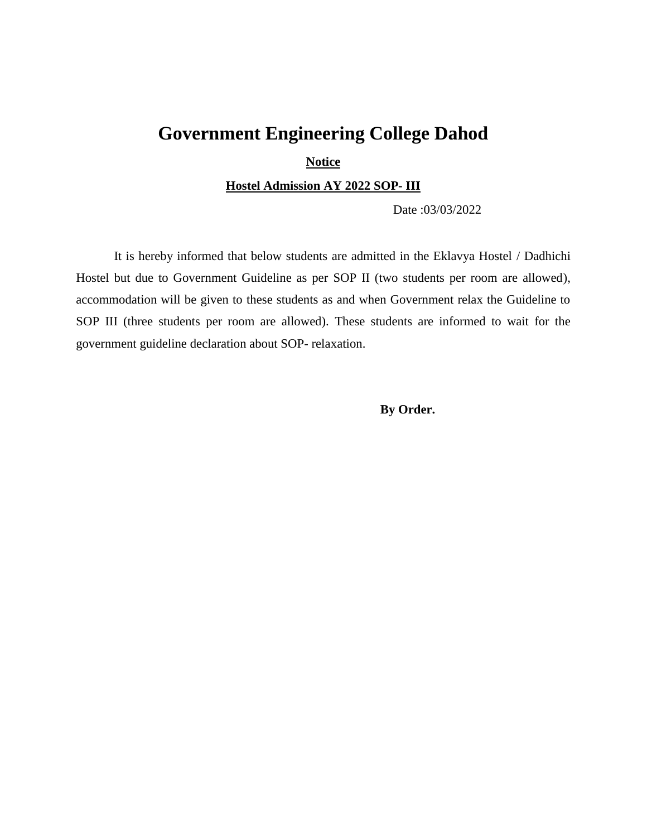## **Government Engineering College Dahod**

**Notice** 

**Hostel Admission AY 2022 SOP- III**

Date :03/03/2022

It is hereby informed that below students are admitted in the Eklavya Hostel / Dadhichi Hostel but due to Government Guideline as per SOP II (two students per room are allowed), accommodation will be given to these students as and when Government relax the Guideline to SOP III (three students per room are allowed). These students are informed to wait for the government guideline declaration about SOP- relaxation.

**By Order.**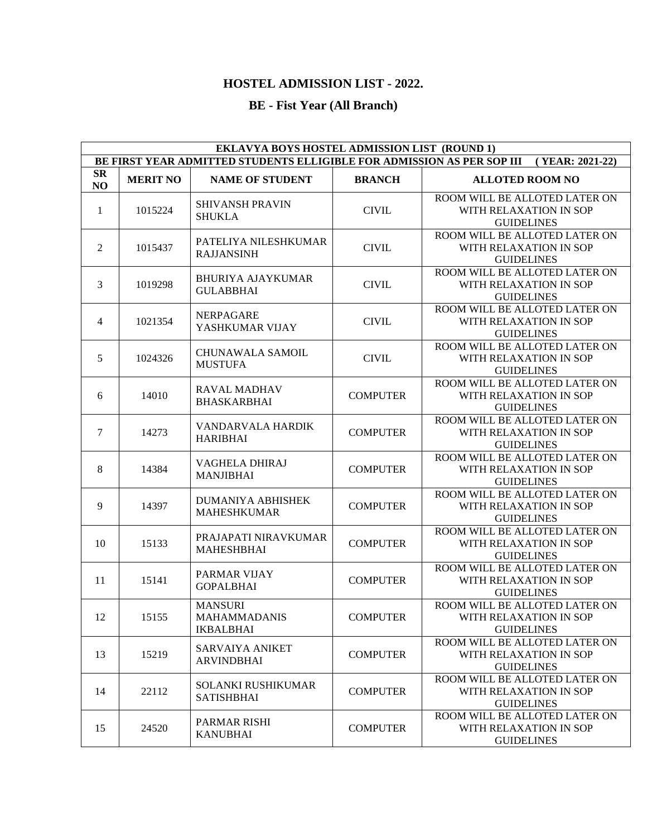## **HOSTEL ADMISSION LIST - 2022.**

## **BE - Fist Year (All Branch)**

| EKLAVYA BOYS HOSTEL ADMISSION LIST (ROUND 1)                                              |                 |                                                           |                 |                                                                              |  |
|-------------------------------------------------------------------------------------------|-----------------|-----------------------------------------------------------|-----------------|------------------------------------------------------------------------------|--|
| BE FIRST YEAR ADMITTED STUDENTS ELLIGIBLE FOR ADMISSION AS PER SOP III<br>(YEAR: 2021-22) |                 |                                                           |                 |                                                                              |  |
| $S_{\mathbf{R}}$<br>NO                                                                    | <b>MERIT NO</b> | <b>NAME OF STUDENT</b>                                    | <b>BRANCH</b>   | <b>ALLOTED ROOM NO</b>                                                       |  |
| $\mathbf{1}$                                                                              | 1015224         | <b>SHIVANSH PRAVIN</b><br><b>SHUKLA</b>                   | <b>CIVIL</b>    | ROOM WILL BE ALLOTED LATER ON<br>WITH RELAXATION IN SOP<br><b>GUIDELINES</b> |  |
| 2                                                                                         | 1015437         | PATELIYA NILESHKUMAR<br><b>RAJJANSINH</b>                 | <b>CIVIL</b>    | ROOM WILL BE ALLOTED LATER ON<br>WITH RELAXATION IN SOP<br><b>GUIDELINES</b> |  |
| 3                                                                                         | 1019298         | <b>BHURIYA AJAYKUMAR</b><br><b>GULABBHAI</b>              | <b>CIVIL</b>    | ROOM WILL BE ALLOTED LATER ON<br>WITH RELAXATION IN SOP<br><b>GUIDELINES</b> |  |
| $\overline{4}$                                                                            | 1021354         | <b>NERPAGARE</b><br>YASHKUMAR VIJAY                       | <b>CIVIL</b>    | ROOM WILL BE ALLOTED LATER ON<br>WITH RELAXATION IN SOP<br><b>GUIDELINES</b> |  |
| 5                                                                                         | 1024326         | <b>CHUNAWALA SAMOIL</b><br><b>MUSTUFA</b>                 | <b>CIVIL</b>    | ROOM WILL BE ALLOTED LATER ON<br>WITH RELAXATION IN SOP<br><b>GUIDELINES</b> |  |
| 6                                                                                         | 14010           | <b>RAVAL MADHAV</b><br><b>BHASKARBHAI</b>                 | <b>COMPUTER</b> | ROOM WILL BE ALLOTED LATER ON<br>WITH RELAXATION IN SOP<br><b>GUIDELINES</b> |  |
| 7                                                                                         | 14273           | VANDARVALA HARDIK<br><b>HARIBHAI</b>                      | <b>COMPUTER</b> | ROOM WILL BE ALLOTED LATER ON<br>WITH RELAXATION IN SOP<br><b>GUIDELINES</b> |  |
| 8                                                                                         | 14384           | <b>VAGHELA DHIRAJ</b><br><b>MANJIBHAI</b>                 | <b>COMPUTER</b> | ROOM WILL BE ALLOTED LATER ON<br>WITH RELAXATION IN SOP<br><b>GUIDELINES</b> |  |
| 9                                                                                         | 14397           | DUMANIYA ABHISHEK<br><b>MAHESHKUMAR</b>                   | <b>COMPUTER</b> | ROOM WILL BE ALLOTED LATER ON<br>WITH RELAXATION IN SOP<br><b>GUIDELINES</b> |  |
| 10                                                                                        | 15133           | PRAJAPATI NIRAVKUMAR<br><b>MAHESHBHAI</b>                 | <b>COMPUTER</b> | ROOM WILL BE ALLOTED LATER ON<br>WITH RELAXATION IN SOP<br><b>GUIDELINES</b> |  |
| 11                                                                                        | 15141           | PARMAR VIJAY<br><b>GOPALBHAI</b>                          | <b>COMPUTER</b> | ROOM WILL BE ALLOTED LATER ON<br>WITH RELAXATION IN SOP<br><b>GUIDELINES</b> |  |
| 12                                                                                        | 15155           | <b>MANSURI</b><br><b>MAHAMMADANIS</b><br><b>IKBALBHAI</b> | <b>COMPUTER</b> | ROOM WILL BE ALLOTED LATER ON<br>WITH RELAXATION IN SOP<br><b>GUIDELINES</b> |  |
| 13                                                                                        | 15219           | <b>SARVAIYA ANIKET</b><br><b>ARVINDBHAI</b>               | <b>COMPUTER</b> | ROOM WILL BE ALLOTED LATER ON<br>WITH RELAXATION IN SOP<br><b>GUIDELINES</b> |  |
| 14                                                                                        | 22112           | <b>SOLANKI RUSHIKUMAR</b><br><b>SATISHBHAI</b>            | <b>COMPUTER</b> | ROOM WILL BE ALLOTED LATER ON<br>WITH RELAXATION IN SOP<br><b>GUIDELINES</b> |  |
| 15                                                                                        | 24520           | PARMAR RISHI<br><b>KANUBHAI</b>                           | <b>COMPUTER</b> | ROOM WILL BE ALLOTED LATER ON<br>WITH RELAXATION IN SOP<br><b>GUIDELINES</b> |  |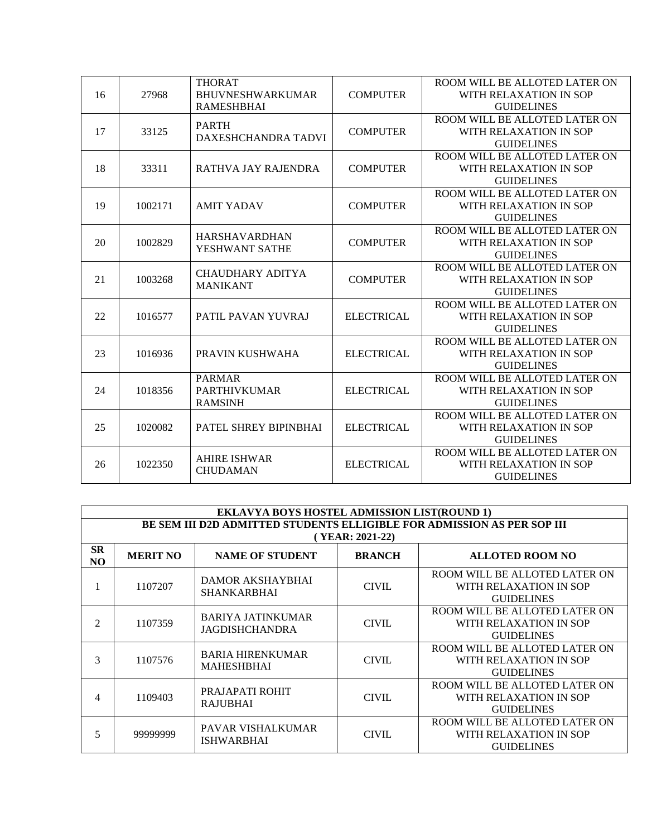|    |                    | <b>THORAT</b>                                                   |                                        | ROOM WILL BE ALLOTED LATER ON |
|----|--------------------|-----------------------------------------------------------------|----------------------------------------|-------------------------------|
| 16 | 27968              | <b>BHUVNESHWARKUMAR</b>                                         | <b>COMPUTER</b>                        | WITH RELAXATION IN SOP        |
|    |                    | <b>RAMESHBHAI</b>                                               |                                        | <b>GUIDELINES</b>             |
| 17 | 33125              | <b>PARTH</b>                                                    | <b>COMPUTER</b>                        | ROOM WILL BE ALLOTED LATER ON |
|    |                    |                                                                 |                                        | WITH RELAXATION IN SOP        |
|    |                    | DAXESHCHANDRA TADVI                                             |                                        | <b>GUIDELINES</b>             |
|    |                    |                                                                 | <b>COMPUTER</b>                        | ROOM WILL BE ALLOTED LATER ON |
| 18 | 33311              | RATHVA JAY RAJENDRA                                             |                                        | WITH RELAXATION IN SOP        |
|    |                    |                                                                 |                                        | <b>GUIDELINES</b>             |
|    |                    |                                                                 |                                        | ROOM WILL BE ALLOTED LATER ON |
| 19 | 1002171            | <b>AMIT YADAV</b>                                               | <b>COMPUTER</b>                        | WITH RELAXATION IN SOP        |
|    |                    |                                                                 |                                        | <b>GUIDELINES</b>             |
|    |                    | HARSHAVARDHAN<br>YESHWANT SATHE                                 | <b>COMPUTER</b>                        | ROOM WILL BE ALLOTED LATER ON |
| 20 | 1002829            |                                                                 |                                        | WITH RELAXATION IN SOP        |
|    |                    |                                                                 |                                        | <b>GUIDELINES</b>             |
|    | 1003268            | <b>CHAUDHARY ADITYA</b><br><b>MANIKANT</b>                      | <b>COMPUTER</b>                        | ROOM WILL BE ALLOTED LATER ON |
| 21 |                    |                                                                 |                                        | WITH RELAXATION IN SOP        |
|    |                    |                                                                 |                                        | <b>GUIDELINES</b>             |
|    | 1016577            | PATIL PAVAN YUVRAJ                                              | <b>ELECTRICAL</b>                      | ROOM WILL BE ALLOTED LATER ON |
| 22 |                    |                                                                 |                                        | WITH RELAXATION IN SOP        |
|    |                    |                                                                 |                                        | <b>GUIDELINES</b>             |
|    | 1016936            | PRAVIN KUSHWAHA                                                 | <b>ELECTRICAL</b>                      | ROOM WILL BE ALLOTED LATER ON |
| 23 |                    |                                                                 |                                        | WITH RELAXATION IN SOP        |
|    |                    |                                                                 |                                        | <b>GUIDELINES</b>             |
|    | 1018356            | <b>PARMAR</b><br><b>PARTHIVKUMAR</b><br><b>RAMSINH</b>          | <b>ELECTRICAL</b>                      | ROOM WILL BE ALLOTED LATER ON |
| 24 |                    |                                                                 |                                        | WITH RELAXATION IN SOP        |
|    |                    |                                                                 |                                        | <b>GUIDELINES</b>             |
| 25 | 1020082<br>1022350 | PATEL SHREY BIPINBHAI<br><b>AHIRE ISHWAR</b><br><b>CHUDAMAN</b> | <b>ELECTRICAL</b><br><b>ELECTRICAL</b> | ROOM WILL BE ALLOTED LATER ON |
|    |                    |                                                                 |                                        | WITH RELAXATION IN SOP        |
|    |                    |                                                                 |                                        | <b>GUIDELINES</b>             |
|    |                    |                                                                 |                                        | ROOM WILL BE ALLOTED LATER ON |
| 26 |                    |                                                                 |                                        | WITH RELAXATION IN SOP        |
|    |                    |                                                                 |                                        | <b>GUIDELINES</b>             |

| <b>EKLAVYA BOYS HOSTEL ADMISSION LIST(ROUND 1)</b>                      |                 |                                                   |                 |                                                                              |  |
|-------------------------------------------------------------------------|-----------------|---------------------------------------------------|-----------------|------------------------------------------------------------------------------|--|
| BE SEM III D2D ADMITTED STUDENTS ELLIGIBLE FOR ADMISSION AS PER SOP III |                 |                                                   |                 |                                                                              |  |
|                                                                         |                 |                                                   | (YEAR: 2021-22) |                                                                              |  |
| <b>SR</b><br>NO                                                         | <b>MERIT NO</b> | <b>NAME OF STUDENT</b>                            | <b>BRANCH</b>   | <b>ALLOTED ROOM NO</b>                                                       |  |
|                                                                         | 1107207         | <b>DAMOR AKSHAYBHAI</b><br><b>SHANKARBHAI</b>     | <b>CIVIL</b>    | ROOM WILL BE ALLOTED LATER ON<br>WITH RELAXATION IN SOP<br><b>GUIDELINES</b> |  |
| 2                                                                       | 1107359         | <b>BARIYA JATINKUMAR</b><br><b>JAGDISHCHANDRA</b> | <b>CIVIL</b>    | ROOM WILL BE ALLOTED LATER ON<br>WITH RELAXATION IN SOP<br><b>GUIDELINES</b> |  |
| 3                                                                       | 1107576         | <b>BARIA HIRENKUMAR</b><br><b>MAHESHBHAI</b>      | CIVIL.          | ROOM WILL BE ALLOTED LATER ON<br>WITH RELAXATION IN SOP<br><b>GUIDELINES</b> |  |
| 4                                                                       | 1109403         | PRAJAPATI ROHIT<br><b>RAJUBHAI</b>                | <b>CIVIL</b>    | ROOM WILL BE ALLOTED LATER ON<br>WITH RELAXATION IN SOP<br><b>GUIDELINES</b> |  |
| 5                                                                       | 99999999        | PAVAR VISHALKUMAR<br><b>ISHWARBHAI</b>            | <b>CIVIL</b>    | ROOM WILL BE ALLOTED LATER ON<br>WITH RELAXATION IN SOP<br><b>GUIDELINES</b> |  |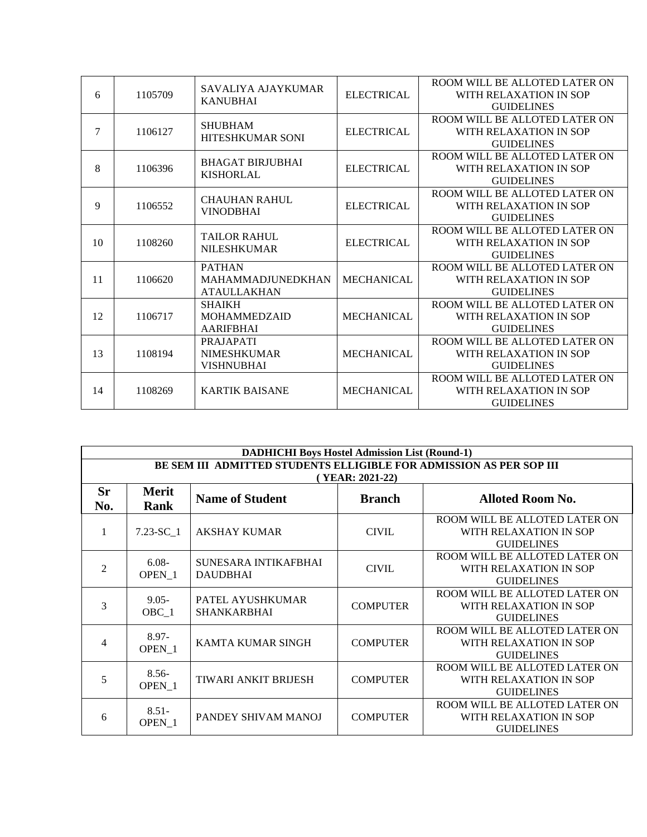| 6  | 1105709 | SAVALIYA AJAYKUMAR<br><b>KANUBHAI</b>                           | <b>ELECTRICAL</b> | ROOM WILL BE ALLOTED LATER ON<br>WITH RELAXATION IN SOP<br><b>GUIDELINES</b> |
|----|---------|-----------------------------------------------------------------|-------------------|------------------------------------------------------------------------------|
| 7  | 1106127 | <b>SHUBHAM</b><br><b>HITESHKUMAR SONI</b>                       | <b>ELECTRICAL</b> | ROOM WILL BE ALLOTED LATER ON<br>WITH RELAXATION IN SOP<br><b>GUIDELINES</b> |
| 8  | 1106396 | <b>BHAGAT BIRJUBHAI</b><br><b>KISHORLAL</b>                     | <b>ELECTRICAL</b> | ROOM WILL BE ALLOTED LATER ON<br>WITH RELAXATION IN SOP<br><b>GUIDELINES</b> |
| 9  | 1106552 | <b>CHAUHAN RAHUL</b><br><b>VINODBHAI</b>                        | <b>ELECTRICAL</b> | ROOM WILL BE ALLOTED LATER ON<br>WITH RELAXATION IN SOP<br><b>GUIDELINES</b> |
| 10 | 1108260 | <b>TAILOR RAHUL</b><br><b>NILESHKUMAR</b>                       | <b>ELECTRICAL</b> | ROOM WILL BE ALLOTED LATER ON<br>WITH RELAXATION IN SOP<br><b>GUIDELINES</b> |
| 11 | 1106620 | <b>PATHAN</b><br><b>MAHAMMADJUNEDKHAN</b><br><b>ATAULLAKHAN</b> | <b>MECHANICAL</b> | ROOM WILL BE ALLOTED LATER ON<br>WITH RELAXATION IN SOP<br><b>GUIDELINES</b> |
| 12 | 1106717 | <b>SHAIKH</b><br><b>MOHAMMEDZAID</b><br><b>AARIFBHAI</b>        | <b>MECHANICAL</b> | ROOM WILL BE ALLOTED LATER ON<br>WITH RELAXATION IN SOP<br><b>GUIDELINES</b> |
| 13 | 1108194 | <b>PRAJAPATI</b><br><b>NIMESHKUMAR</b><br><b>VISHNUBHAI</b>     | <b>MECHANICAL</b> | ROOM WILL BE ALLOTED LATER ON<br>WITH RELAXATION IN SOP<br><b>GUIDELINES</b> |
| 14 | 1108269 | <b>KARTIK BAISANE</b>                                           | <b>MECHANICAL</b> | ROOM WILL BE ALLOTED LATER ON<br>WITH RELAXATION IN SOP<br><b>GUIDELINES</b> |

| <b>DADHICHI Boys Hostel Admission List (Round-1)</b>                |                              |                                         |                                  |                                                                              |  |
|---------------------------------------------------------------------|------------------------------|-----------------------------------------|----------------------------------|------------------------------------------------------------------------------|--|
| BE SEM III ADMITTED STUDENTS ELLIGIBLE FOR ADMISSION AS PER SOP III |                              |                                         |                                  |                                                                              |  |
| <b>Sr</b><br>No.                                                    | <b>Merit</b><br>Rank         | <b>Name of Student</b>                  | (YEAR: 2021-22)<br><b>Branch</b> | <b>Alloted Room No.</b>                                                      |  |
|                                                                     | $7.23 - SC$ 1                | <b>AKSHAY KUMAR</b>                     | <b>CIVIL</b>                     | ROOM WILL BE ALLOTED LATER ON<br>WITH RELAXATION IN SOP<br><b>GUIDELINES</b> |  |
| $\overline{2}$                                                      | $6.08 -$<br>OPEN 1           | SUNESARA INTIKAFBHAI<br><b>DAUDBHAI</b> | <b>CIVIL</b>                     | ROOM WILL BE ALLOTED LATER ON<br>WITH RELAXATION IN SOP<br><b>GUIDELINES</b> |  |
| 3                                                                   | $9.05 -$<br>$OBC_1$          | PATEL AYUSHKUMAR<br><b>SHANKARBHAI</b>  | <b>COMPUTER</b>                  | ROOM WILL BE ALLOTED LATER ON<br>WITH RELAXATION IN SOP<br><b>GUIDELINES</b> |  |
| 4                                                                   | $8.97 -$<br>OPEN 1           | <b>KAMTA KUMAR SINGH</b>                | <b>COMPUTER</b>                  | ROOM WILL BE ALLOTED LATER ON<br>WITH RELAXATION IN SOP<br><b>GUIDELINES</b> |  |
| 5                                                                   | $8.56-$<br>OPEN <sub>1</sub> | <b>TIWARI ANKIT BRIJESH</b>             | <b>COMPUTER</b>                  | ROOM WILL BE ALLOTED LATER ON<br>WITH RELAXATION IN SOP<br><b>GUIDELINES</b> |  |
| 6                                                                   | $8.51 -$<br>OPEN 1           | PANDEY SHIVAM MANOJ                     | <b>COMPUTER</b>                  | ROOM WILL BE ALLOTED LATER ON<br>WITH RELAXATION IN SOP<br><b>GUIDELINES</b> |  |